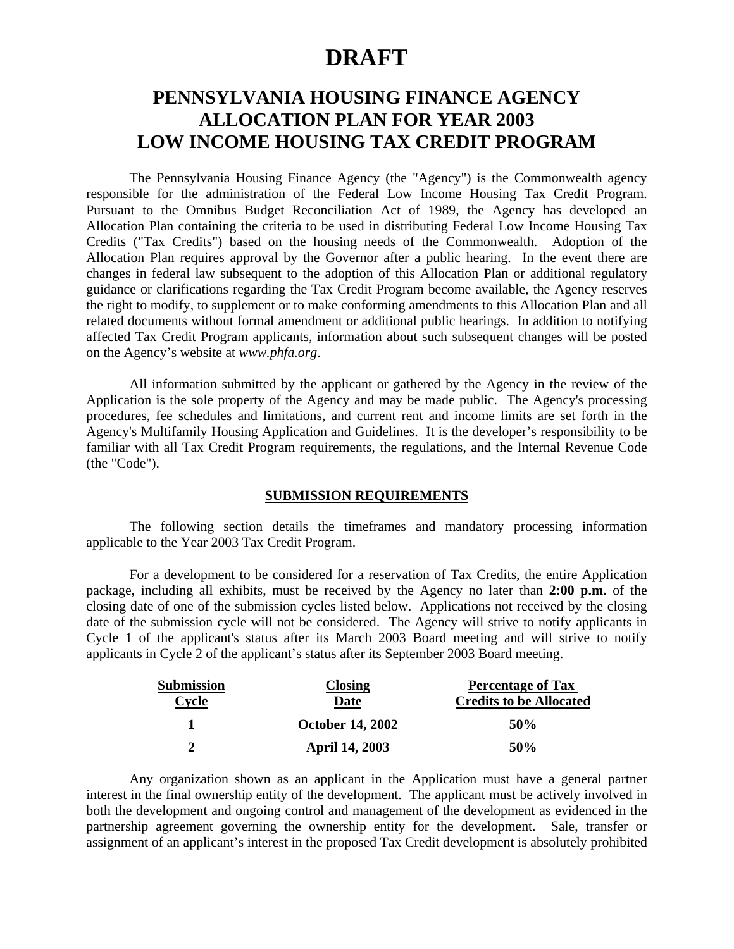# **DRAFT**

# **PENNSYLVANIA HOUSING FINANCE AGENCY ALLOCATION PLAN FOR YEAR 2003 LOW INCOME HOUSING TAX CREDIT PROGRAM**

The Pennsylvania Housing Finance Agency (the "Agency") is the Commonwealth agency responsible for the administration of the Federal Low Income Housing Tax Credit Program. Pursuant to the Omnibus Budget Reconciliation Act of 1989, the Agency has developed an Allocation Plan containing the criteria to be used in distributing Federal Low Income Housing Tax Credits ("Tax Credits") based on the housing needs of the Commonwealth. Adoption of the Allocation Plan requires approval by the Governor after a public hearing. In the event there are changes in federal law subsequent to the adoption of this Allocation Plan or additional regulatory guidance or clarifications regarding the Tax Credit Program become available, the Agency reserves the right to modify, to supplement or to make conforming amendments to this Allocation Plan and all related documents without formal amendment or additional public hearings. In addition to notifying affected Tax Credit Program applicants, information about such subsequent changes will be posted on the Agency's website at *www.phfa.org*.

All information submitted by the applicant or gathered by the Agency in the review of the Application is the sole property of the Agency and may be made public. The Agency's processing procedures, fee schedules and limitations, and current rent and income limits are set forth in the Agency's Multifamily Housing Application and Guidelines. It is the developer's responsibility to be familiar with all Tax Credit Program requirements, the regulations, and the Internal Revenue Code (the "Code").

#### **SUBMISSION REQUIREMENTS**

The following section details the timeframes and mandatory processing information applicable to the Year 2003 Tax Credit Program.

For a development to be considered for a reservation of Tax Credits, the entire Application package, including all exhibits, must be received by the Agency no later than **2:00 p.m.** of the closing date of one of the submission cycles listed below.Applications not received by the closing date of the submission cycle will not be considered. The Agency will strive to notify applicants in Cycle 1 of the applicant's status after its March 2003 Board meeting and will strive to notify applicants in Cycle 2 of the applicant's status after its September 2003 Board meeting.

| Submission    | <b>Closing</b>          | <b>Percentage of Tax</b>       |
|---------------|-------------------------|--------------------------------|
| Cycle         | Date                    | <b>Credits to be Allocated</b> |
|               | <b>October 14, 2002</b> | 50%                            |
| $\mathcal{D}$ | <b>April 14, 2003</b>   | 50%                            |

Any organization shown as an applicant in the Application must have a general partner interest in the final ownership entity of the development. The applicant must be actively involved in both the development and ongoing control and management of the development as evidenced in the partnership agreement governing the ownership entity for the development. Sale, transfer or assignment of an applicant's interest in the proposed Tax Credit development is absolutely prohibited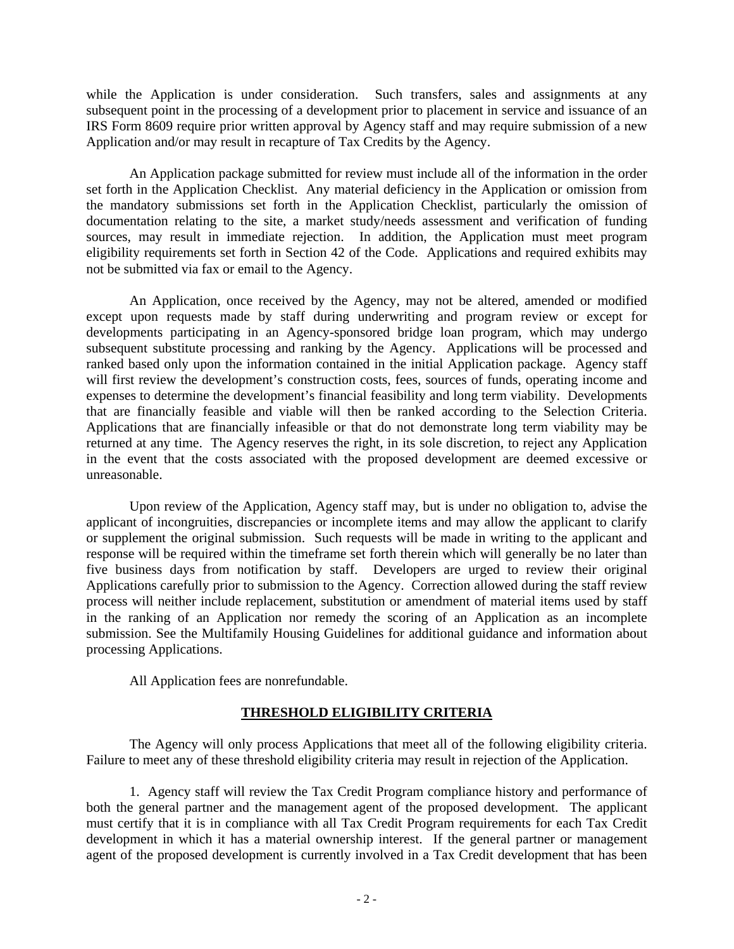while the Application is under consideration. Such transfers, sales and assignments at any subsequent point in the processing of a development prior to placement in service and issuance of an IRS Form 8609 require prior written approval by Agency staff and may require submission of a new Application and/or may result in recapture of Tax Credits by the Agency.

An Application package submitted for review must include all of the information in the order set forth in the Application Checklist. Any material deficiency in the Application or omission from the mandatory submissions set forth in the Application Checklist, particularly the omission of documentation relating to the site, a market study/needs assessment and verification of funding sources, may result in immediate rejection. In addition, the Application must meet program eligibility requirements set forth in Section 42 of the Code. Applications and required exhibits may not be submitted via fax or email to the Agency.

An Application, once received by the Agency, may not be altered, amended or modified except upon requests made by staff during underwriting and program review or except for developments participating in an Agency-sponsored bridge loan program, which may undergo subsequent substitute processing and ranking by the Agency. Applications will be processed and ranked based only upon the information contained in the initial Application package. Agency staff will first review the development's construction costs, fees, sources of funds, operating income and expenses to determine the development's financial feasibility and long term viability. Developments that are financially feasible and viable will then be ranked according to the Selection Criteria. Applications that are financially infeasible or that do not demonstrate long term viability may be returned at any time. The Agency reserves the right, in its sole discretion, to reject any Application in the event that the costs associated with the proposed development are deemed excessive or unreasonable.

Upon review of the Application, Agency staff may, but is under no obligation to, advise the applicant of incongruities, discrepancies or incomplete items and may allow the applicant to clarify or supplement the original submission. Such requests will be made in writing to the applicant and response will be required within the timeframe set forth therein which will generally be no later than five business days from notification by staff. Developers are urged to review their original Applications carefully prior to submission to the Agency. Correction allowed during the staff review process will neither include replacement, substitution or amendment of material items used by staff in the ranking of an Application nor remedy the scoring of an Application as an incomplete submission. See the Multifamily Housing Guidelines for additional guidance and information about processing Applications.

All Application fees are nonrefundable.

## **THRESHOLD ELIGIBILITY CRITERIA**

The Agency will only process Applications that meet all of the following eligibility criteria. Failure to meet any of these threshold eligibility criteria may result in rejection of the Application.

1. Agency staff will review the Tax Credit Program compliance history and performance of both the general partner and the management agent of the proposed development. The applicant must certify that it is in compliance with all Tax Credit Program requirements for each Tax Credit development in which it has a material ownership interest. If the general partner or management agent of the proposed development is currently involved in a Tax Credit development that has been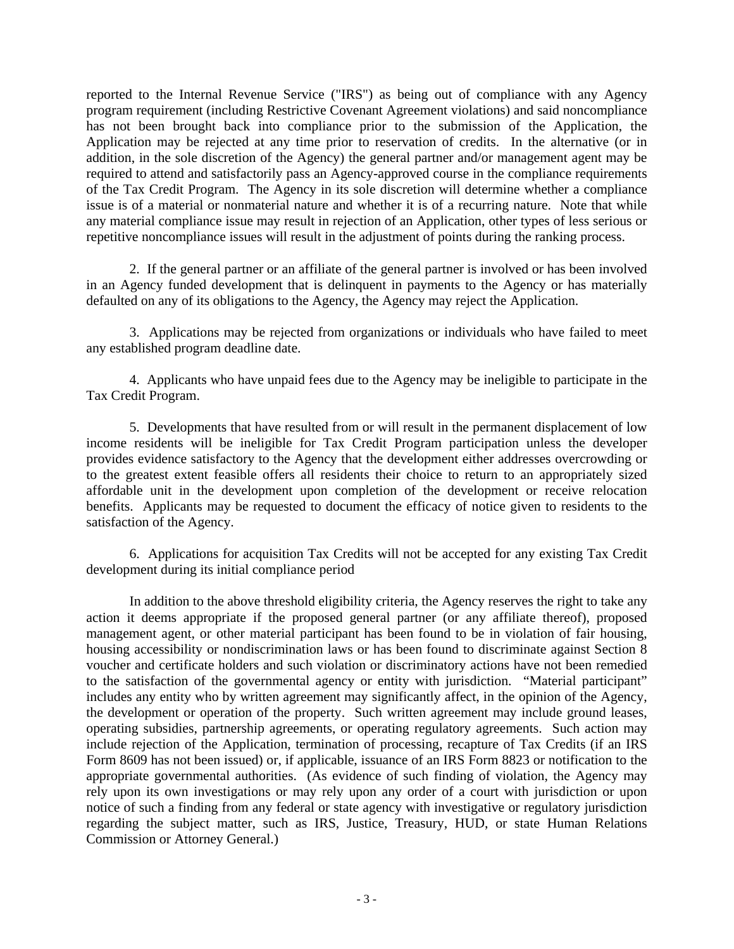reported to the Internal Revenue Service ("IRS") as being out of compliance with any Agency program requirement (including Restrictive Covenant Agreement violations) and said noncompliance has not been brought back into compliance prior to the submission of the Application, the Application may be rejected at any time prior to reservation of credits. In the alternative (or in addition, in the sole discretion of the Agency) the general partner and/or management agent may be required to attend and satisfactorily pass an Agency-approved course in the compliance requirements of the Tax Credit Program. The Agency in its sole discretion will determine whether a compliance issue is of a material or nonmaterial nature and whether it is of a recurring nature. Note that while any material compliance issue may result in rejection of an Application, other types of less serious or repetitive noncompliance issues will result in the adjustment of points during the ranking process.

2. If the general partner or an affiliate of the general partner is involved or has been involved in an Agency funded development that is delinquent in payments to the Agency or has materially defaulted on any of its obligations to the Agency, the Agency may reject the Application.

3. Applications may be rejected from organizations or individuals who have failed to meet any established program deadline date.

4. Applicants who have unpaid fees due to the Agency may be ineligible to participate in the Tax Credit Program.

5. Developments that have resulted from or will result in the permanent displacement of low income residents will be ineligible for Tax Credit Program participation unless the developer provides evidence satisfactory to the Agency that the development either addresses overcrowding or to the greatest extent feasible offers all residents their choice to return to an appropriately sized affordable unit in the development upon completion of the development or receive relocation benefits. Applicants may be requested to document the efficacy of notice given to residents to the satisfaction of the Agency.

6. Applications for acquisition Tax Credits will not be accepted for any existing Tax Credit development during its initial compliance period

In addition to the above threshold eligibility criteria, the Agency reserves the right to take any action it deems appropriate if the proposed general partner (or any affiliate thereof), proposed management agent, or other material participant has been found to be in violation of fair housing, housing accessibility or nondiscrimination laws or has been found to discriminate against Section 8 voucher and certificate holders and such violation or discriminatory actions have not been remedied to the satisfaction of the governmental agency or entity with jurisdiction. "Material participant" includes any entity who by written agreement may significantly affect, in the opinion of the Agency, the development or operation of the property. Such written agreement may include ground leases, operating subsidies, partnership agreements, or operating regulatory agreements. Such action may include rejection of the Application, termination of processing, recapture of Tax Credits (if an IRS Form 8609 has not been issued) or, if applicable, issuance of an IRS Form 8823 or notification to the appropriate governmental authorities. (As evidence of such finding of violation, the Agency may rely upon its own investigations or may rely upon any order of a court with jurisdiction or upon notice of such a finding from any federal or state agency with investigative or regulatory jurisdiction regarding the subject matter, such as IRS, Justice, Treasury, HUD, or state Human Relations Commission or Attorney General.)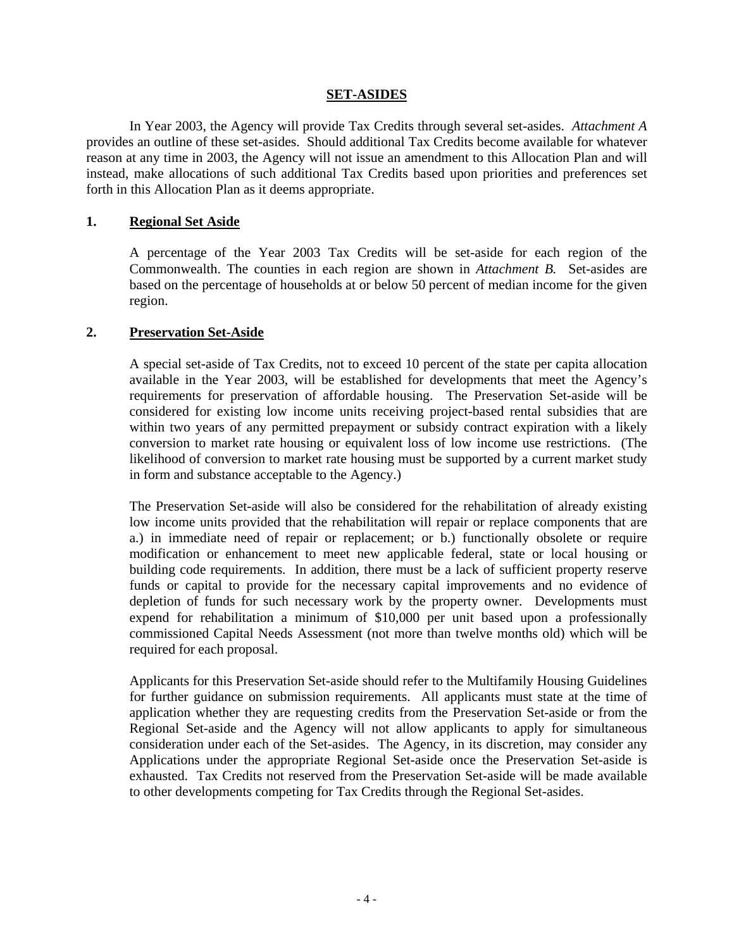## **SET-ASIDES**

In Year 2003, the Agency will provide Tax Credits through several set-asides. *Attachment A* provides an outline of these set-asides. Should additional Tax Credits become available for whatever reason at any time in 2003, the Agency will not issue an amendment to this Allocation Plan and will instead, make allocations of such additional Tax Credits based upon priorities and preferences set forth in this Allocation Plan as it deems appropriate.

## **1. Regional Set Aside**

A percentage of the Year 2003 Tax Credits will be set-aside for each region of the Commonwealth. The counties in each region are shown in *Attachment B.* Set-asides are based on the percentage of households at or below 50 percent of median income for the given region.

## **2. Preservation Set-Aside**

A special set-aside of Tax Credits, not to exceed 10 percent of the state per capita allocation available in the Year 2003, will be established for developments that meet the Agency's requirements for preservation of affordable housing. The Preservation Set-aside will be considered for existing low income units receiving project-based rental subsidies that are within two years of any permitted prepayment or subsidy contract expiration with a likely conversion to market rate housing or equivalent loss of low income use restrictions. (The likelihood of conversion to market rate housing must be supported by a current market study in form and substance acceptable to the Agency.)

The Preservation Set-aside will also be considered for the rehabilitation of already existing low income units provided that the rehabilitation will repair or replace components that are a.) in immediate need of repair or replacement; or b.) functionally obsolete or require modification or enhancement to meet new applicable federal, state or local housing or building code requirements. In addition, there must be a lack of sufficient property reserve funds or capital to provide for the necessary capital improvements and no evidence of depletion of funds for such necessary work by the property owner. Developments must expend for rehabilitation a minimum of \$10,000 per unit based upon a professionally commissioned Capital Needs Assessment (not more than twelve months old) which will be required for each proposal.

Applicants for this Preservation Set-aside should refer to the Multifamily Housing Guidelines for further guidance on submission requirements. All applicants must state at the time of application whether they are requesting credits from the Preservation Set-aside or from the Regional Set-aside and the Agency will not allow applicants to apply for simultaneous consideration under each of the Set-asides. The Agency, in its discretion, may consider any Applications under the appropriate Regional Set-aside once the Preservation Set-aside is exhausted. Tax Credits not reserved from the Preservation Set-aside will be made available to other developments competing for Tax Credits through the Regional Set-asides.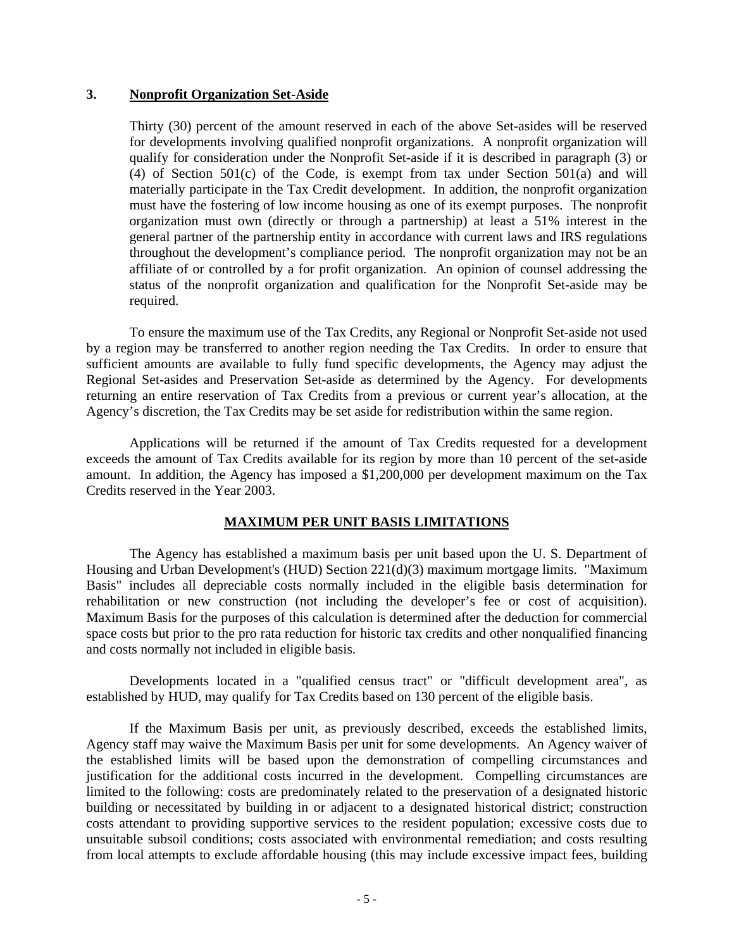## **3. Nonprofit Organization Set-Aside**

Thirty (30) percent of the amount reserved in each of the above Set-asides will be reserved for developments involving qualified nonprofit organizations. A nonprofit organization will qualify for consideration under the Nonprofit Set-aside if it is described in paragraph (3) or (4) of Section 501(c) of the Code, is exempt from tax under Section 501(a) and will materially participate in the Tax Credit development. In addition, the nonprofit organization must have the fostering of low income housing as one of its exempt purposes. The nonprofit organization must own (directly or through a partnership) at least a 51% interest in the general partner of the partnership entity in accordance with current laws and IRS regulations throughout the development's compliance period. The nonprofit organization may not be an affiliate of or controlled by a for profit organization. An opinion of counsel addressing the status of the nonprofit organization and qualification for the Nonprofit Set-aside may be required.

To ensure the maximum use of the Tax Credits, any Regional or Nonprofit Set-aside not used by a region may be transferred to another region needing the Tax Credits. In order to ensure that sufficient amounts are available to fully fund specific developments, the Agency may adjust the Regional Set-asides and Preservation Set-aside as determined by the Agency. For developments returning an entire reservation of Tax Credits from a previous or current year's allocation, at the Agency's discretion, the Tax Credits may be set aside for redistribution within the same region.

Applications will be returned if the amount of Tax Credits requested for a development exceeds the amount of Tax Credits available for its region by more than 10 percent of the set-aside amount. In addition, the Agency has imposed a \$1,200,000 per development maximum on the Tax Credits reserved in the Year 2003.

#### **MAXIMUM PER UNIT BASIS LIMITATIONS**

The Agency has established a maximum basis per unit based upon the U. S. Department of Housing and Urban Development's (HUD) Section 221(d)(3) maximum mortgage limits. "Maximum Basis" includes all depreciable costs normally included in the eligible basis determination for rehabilitation or new construction (not including the developer's fee or cost of acquisition). Maximum Basis for the purposes of this calculation is determined after the deduction for commercial space costs but prior to the pro rata reduction for historic tax credits and other nonqualified financing and costs normally not included in eligible basis.

Developments located in a "qualified census tract" or "difficult development area", as established by HUD, may qualify for Tax Credits based on 130 percent of the eligible basis.

If the Maximum Basis per unit, as previously described, exceeds the established limits, Agency staff may waive the Maximum Basis per unit for some developments. An Agency waiver of the established limits will be based upon the demonstration of compelling circumstances and justification for the additional costs incurred in the development. Compelling circumstances are limited to the following: costs are predominately related to the preservation of a designated historic building or necessitated by building in or adjacent to a designated historical district; construction costs attendant to providing supportive services to the resident population; excessive costs due to unsuitable subsoil conditions; costs associated with environmental remediation; and costs resulting from local attempts to exclude affordable housing (this may include excessive impact fees, building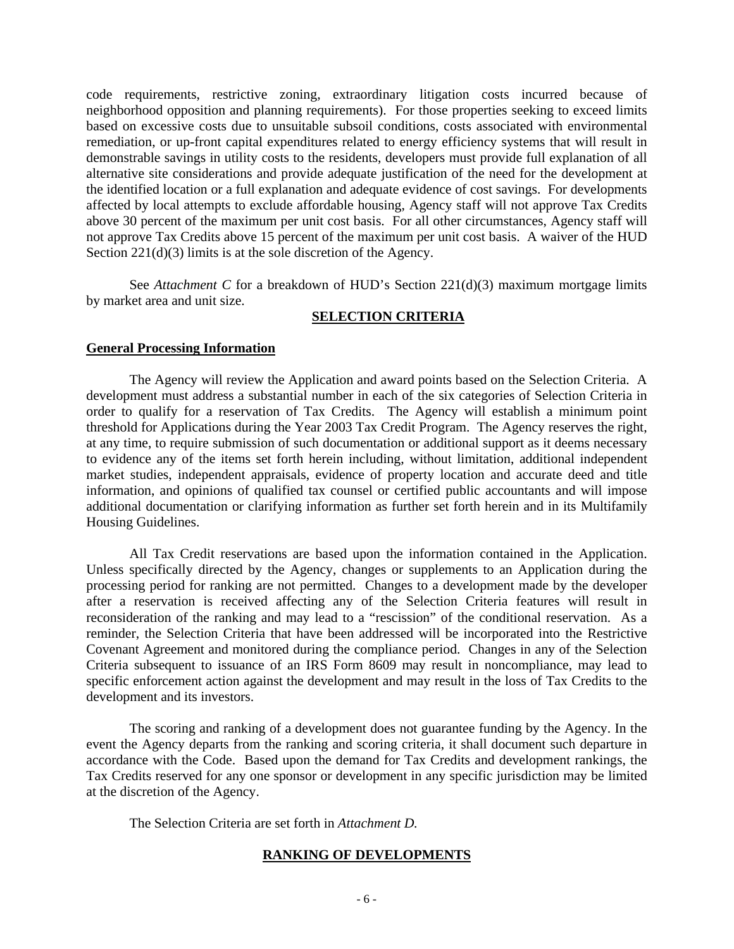code requirements, restrictive zoning, extraordinary litigation costs incurred because of neighborhood opposition and planning requirements). For those properties seeking to exceed limits based on excessive costs due to unsuitable subsoil conditions, costs associated with environmental remediation, or up-front capital expenditures related to energy efficiency systems that will result in demonstrable savings in utility costs to the residents, developers must provide full explanation of all alternative site considerations and provide adequate justification of the need for the development at the identified location or a full explanation and adequate evidence of cost savings. For developments affected by local attempts to exclude affordable housing, Agency staff will not approve Tax Credits above 30 percent of the maximum per unit cost basis. For all other circumstances, Agency staff will not approve Tax Credits above 15 percent of the maximum per unit cost basis. A waiver of the HUD Section  $221(d)(3)$  limits is at the sole discretion of the Agency.

See *Attachment C* for a breakdown of HUD's Section 221(d)(3) maximum mortgage limits by market area and unit size.

## **SELECTION CRITERIA**

#### **General Processing Information**

The Agency will review the Application and award points based on the Selection Criteria. A development must address a substantial number in each of the six categories of Selection Criteria in order to qualify for a reservation of Tax Credits. The Agency will establish a minimum point threshold for Applications during the Year 2003 Tax Credit Program. The Agency reserves the right, at any time, to require submission of such documentation or additional support as it deems necessary to evidence any of the items set forth herein including, without limitation, additional independent market studies, independent appraisals, evidence of property location and accurate deed and title information, and opinions of qualified tax counsel or certified public accountants and will impose additional documentation or clarifying information as further set forth herein and in its Multifamily Housing Guidelines.

All Tax Credit reservations are based upon the information contained in the Application. Unless specifically directed by the Agency, changes or supplements to an Application during the processing period for ranking are not permitted. Changes to a development made by the developer after a reservation is received affecting any of the Selection Criteria features will result in reconsideration of the ranking and may lead to a "rescission" of the conditional reservation. As a reminder, the Selection Criteria that have been addressed will be incorporated into the Restrictive Covenant Agreement and monitored during the compliance period. Changes in any of the Selection Criteria subsequent to issuance of an IRS Form 8609 may result in noncompliance, may lead to specific enforcement action against the development and may result in the loss of Tax Credits to the development and its investors.

The scoring and ranking of a development does not guarantee funding by the Agency. In the event the Agency departs from the ranking and scoring criteria, it shall document such departure in accordance with the Code. Based upon the demand for Tax Credits and development rankings, the Tax Credits reserved for any one sponsor or development in any specific jurisdiction may be limited at the discretion of the Agency.

The Selection Criteria are set forth in *Attachment D.*

## **RANKING OF DEVELOPMENTS**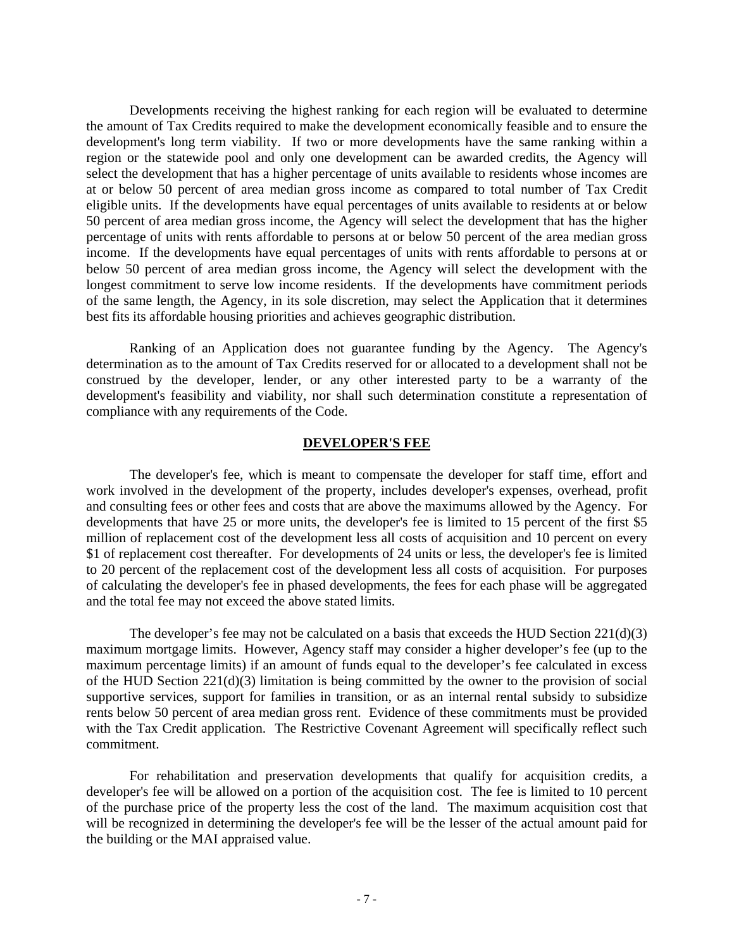Developments receiving the highest ranking for each region will be evaluated to determine the amount of Tax Credits required to make the development economically feasible and to ensure the development's long term viability. If two or more developments have the same ranking within a region or the statewide pool and only one development can be awarded credits, the Agency will select the development that has a higher percentage of units available to residents whose incomes are at or below 50 percent of area median gross income as compared to total number of Tax Credit eligible units. If the developments have equal percentages of units available to residents at or below 50 percent of area median gross income, the Agency will select the development that has the higher percentage of units with rents affordable to persons at or below 50 percent of the area median gross income. If the developments have equal percentages of units with rents affordable to persons at or below 50 percent of area median gross income, the Agency will select the development with the longest commitment to serve low income residents. If the developments have commitment periods of the same length, the Agency, in its sole discretion, may select the Application that it determines best fits its affordable housing priorities and achieves geographic distribution.

Ranking of an Application does not guarantee funding by the Agency. The Agency's determination as to the amount of Tax Credits reserved for or allocated to a development shall not be construed by the developer, lender, or any other interested party to be a warranty of the development's feasibility and viability, nor shall such determination constitute a representation of compliance with any requirements of the Code.

#### **DEVELOPER'S FEE**

The developer's fee, which is meant to compensate the developer for staff time, effort and work involved in the development of the property, includes developer's expenses, overhead, profit and consulting fees or other fees and costs that are above the maximums allowed by the Agency. For developments that have 25 or more units, the developer's fee is limited to 15 percent of the first \$5 million of replacement cost of the development less all costs of acquisition and 10 percent on every \$1 of replacement cost thereafter. For developments of 24 units or less, the developer's fee is limited to 20 percent of the replacement cost of the development less all costs of acquisition. For purposes of calculating the developer's fee in phased developments, the fees for each phase will be aggregated and the total fee may not exceed the above stated limits.

The developer's fee may not be calculated on a basis that exceeds the HUD Section  $221(d)(3)$ maximum mortgage limits. However, Agency staff may consider a higher developer's fee (up to the maximum percentage limits) if an amount of funds equal to the developer's fee calculated in excess of the HUD Section 221(d)(3) limitation is being committed by the owner to the provision of social supportive services, support for families in transition, or as an internal rental subsidy to subsidize rents below 50 percent of area median gross rent. Evidence of these commitments must be provided with the Tax Credit application. The Restrictive Covenant Agreement will specifically reflect such commitment.

For rehabilitation and preservation developments that qualify for acquisition credits, a developer's fee will be allowed on a portion of the acquisition cost. The fee is limited to 10 percent of the purchase price of the property less the cost of the land. The maximum acquisition cost that will be recognized in determining the developer's fee will be the lesser of the actual amount paid for the building or the MAI appraised value.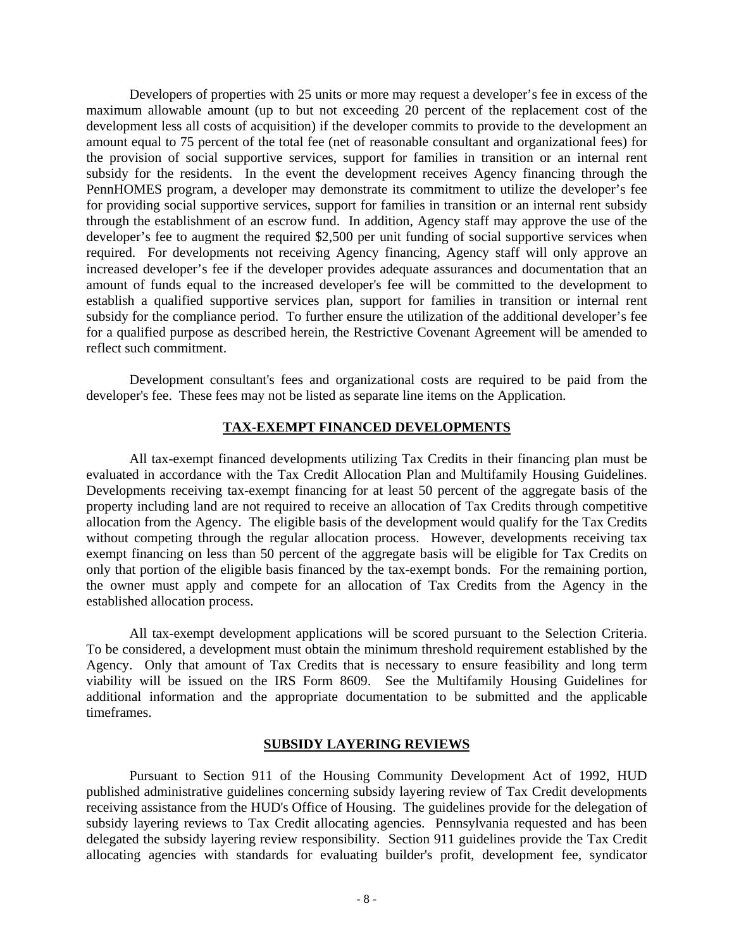Developers of properties with 25 units or more may request a developer's fee in excess of the maximum allowable amount (up to but not exceeding 20 percent of the replacement cost of the development less all costs of acquisition) if the developer commits to provide to the development an amount equal to 75 percent of the total fee (net of reasonable consultant and organizational fees) for the provision of social supportive services, support for families in transition or an internal rent subsidy for the residents. In the event the development receives Agency financing through the PennHOMES program, a developer may demonstrate its commitment to utilize the developer's fee for providing social supportive services, support for families in transition or an internal rent subsidy through the establishment of an escrow fund. In addition, Agency staff may approve the use of the developer's fee to augment the required \$2,500 per unit funding of social supportive services when required. For developments not receiving Agency financing, Agency staff will only approve an increased developer's fee if the developer provides adequate assurances and documentation that an amount of funds equal to the increased developer's fee will be committed to the development to establish a qualified supportive services plan, support for families in transition or internal rent subsidy for the compliance period. To further ensure the utilization of the additional developer's fee for a qualified purpose as described herein, the Restrictive Covenant Agreement will be amended to reflect such commitment.

Development consultant's fees and organizational costs are required to be paid from the developer's fee. These fees may not be listed as separate line items on the Application.

## **TAX-EXEMPT FINANCED DEVELOPMENTS**

All tax-exempt financed developments utilizing Tax Credits in their financing plan must be evaluated in accordance with the Tax Credit Allocation Plan and Multifamily Housing Guidelines. Developments receiving tax-exempt financing for at least 50 percent of the aggregate basis of the property including land are not required to receive an allocation of Tax Credits through competitive allocation from the Agency. The eligible basis of the development would qualify for the Tax Credits without competing through the regular allocation process. However, developments receiving tax exempt financing on less than 50 percent of the aggregate basis will be eligible for Tax Credits on only that portion of the eligible basis financed by the tax-exempt bonds. For the remaining portion, the owner must apply and compete for an allocation of Tax Credits from the Agency in the established allocation process.

All tax-exempt development applications will be scored pursuant to the Selection Criteria. To be considered, a development must obtain the minimum threshold requirement established by the Agency. Only that amount of Tax Credits that is necessary to ensure feasibility and long term viability will be issued on the IRS Form 8609. See the Multifamily Housing Guidelines for additional information and the appropriate documentation to be submitted and the applicable timeframes.

#### **SUBSIDY LAYERING REVIEWS**

Pursuant to Section 911 of the Housing Community Development Act of 1992, HUD published administrative guidelines concerning subsidy layering review of Tax Credit developments receiving assistance from the HUD's Office of Housing. The guidelines provide for the delegation of subsidy layering reviews to Tax Credit allocating agencies. Pennsylvania requested and has been delegated the subsidy layering review responsibility. Section 911 guidelines provide the Tax Credit allocating agencies with standards for evaluating builder's profit, development fee, syndicator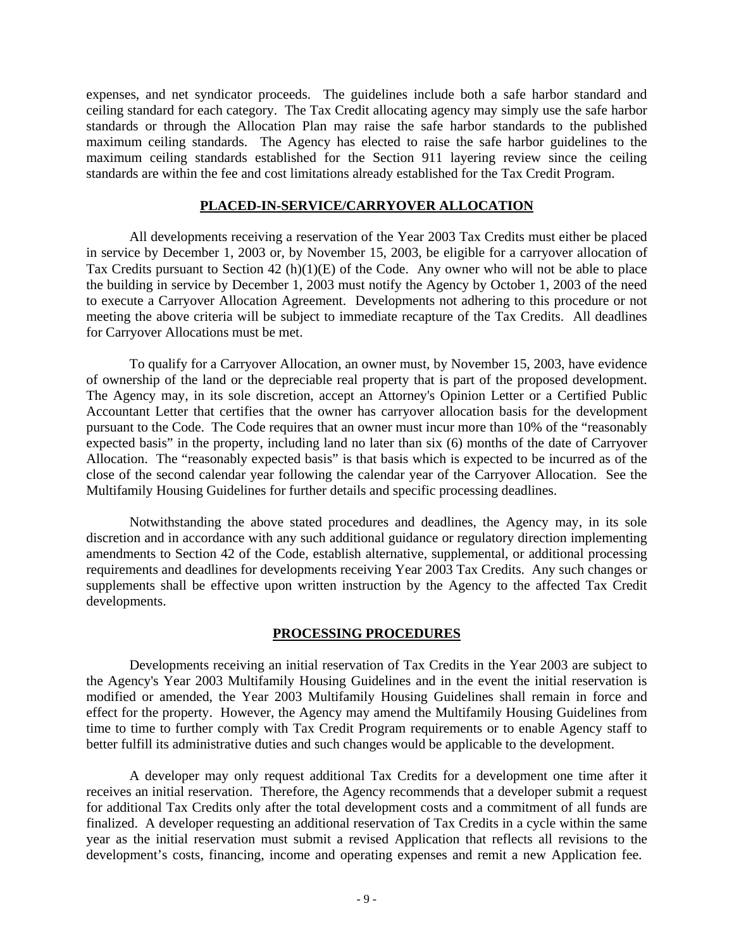expenses, and net syndicator proceeds. The guidelines include both a safe harbor standard and ceiling standard for each category. The Tax Credit allocating agency may simply use the safe harbor standards or through the Allocation Plan may raise the safe harbor standards to the published maximum ceiling standards. The Agency has elected to raise the safe harbor guidelines to the maximum ceiling standards established for the Section 911 layering review since the ceiling standards are within the fee and cost limitations already established for the Tax Credit Program.

#### **PLACED-IN-SERVICE/CARRYOVER ALLOCATION**

All developments receiving a reservation of the Year 2003 Tax Credits must either be placed in service by December 1, 2003 or, by November 15, 2003, be eligible for a carryover allocation of Tax Credits pursuant to Section 42 (h)(1)(E) of the Code. Any owner who will not be able to place the building in service by December 1, 2003 must notify the Agency by October 1, 2003 of the need to execute a Carryover Allocation Agreement. Developments not adhering to this procedure or not meeting the above criteria will be subject to immediate recapture of the Tax Credits. All deadlines for Carryover Allocations must be met.

To qualify for a Carryover Allocation, an owner must, by November 15, 2003, have evidence of ownership of the land or the depreciable real property that is part of the proposed development. The Agency may, in its sole discretion, accept an Attorney's Opinion Letter or a Certified Public Accountant Letter that certifies that the owner has carryover allocation basis for the development pursuant to the Code. The Code requires that an owner must incur more than 10% of the "reasonably expected basis" in the property, including land no later than six (6) months of the date of Carryover Allocation. The "reasonably expected basis" is that basis which is expected to be incurred as of the close of the second calendar year following the calendar year of the Carryover Allocation. See the Multifamily Housing Guidelines for further details and specific processing deadlines.

Notwithstanding the above stated procedures and deadlines, the Agency may, in its sole discretion and in accordance with any such additional guidance or regulatory direction implementing amendments to Section 42 of the Code, establish alternative, supplemental, or additional processing requirements and deadlines for developments receiving Year 2003 Tax Credits. Any such changes or supplements shall be effective upon written instruction by the Agency to the affected Tax Credit developments.

#### **PROCESSING PROCEDURES**

Developments receiving an initial reservation of Tax Credits in the Year 2003 are subject to the Agency's Year 2003 Multifamily Housing Guidelines and in the event the initial reservation is modified or amended, the Year 2003 Multifamily Housing Guidelines shall remain in force and effect for the property. However, the Agency may amend the Multifamily Housing Guidelines from time to time to further comply with Tax Credit Program requirements or to enable Agency staff to better fulfill its administrative duties and such changes would be applicable to the development.

A developer may only request additional Tax Credits for a development one time after it receives an initial reservation. Therefore, the Agency recommends that a developer submit a request for additional Tax Credits only after the total development costs and a commitment of all funds are finalized. A developer requesting an additional reservation of Tax Credits in a cycle within the same year as the initial reservation must submit a revised Application that reflects all revisions to the development's costs, financing, income and operating expenses and remit a new Application fee.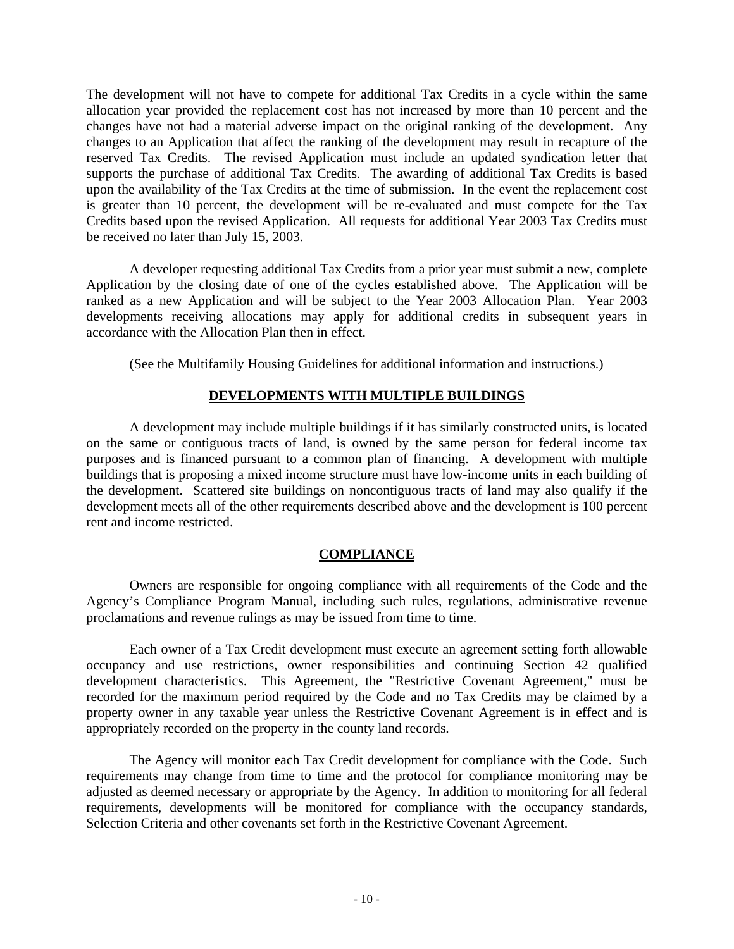The development will not have to compete for additional Tax Credits in a cycle within the same allocation year provided the replacement cost has not increased by more than 10 percent and the changes have not had a material adverse impact on the original ranking of the development. Any changes to an Application that affect the ranking of the development may result in recapture of the reserved Tax Credits. The revised Application must include an updated syndication letter that supports the purchase of additional Tax Credits. The awarding of additional Tax Credits is based upon the availability of the Tax Credits at the time of submission. In the event the replacement cost is greater than 10 percent, the development will be re-evaluated and must compete for the Tax Credits based upon the revised Application. All requests for additional Year 2003 Tax Credits must be received no later than July 15, 2003.

A developer requesting additional Tax Credits from a prior year must submit a new, complete Application by the closing date of one of the cycles established above. The Application will be ranked as a new Application and will be subject to the Year 2003 Allocation Plan. Year 2003 developments receiving allocations may apply for additional credits in subsequent years in accordance with the Allocation Plan then in effect.

(See the Multifamily Housing Guidelines for additional information and instructions.)

## **DEVELOPMENTS WITH MULTIPLE BUILDINGS**

A development may include multiple buildings if it has similarly constructed units, is located on the same or contiguous tracts of land, is owned by the same person for federal income tax purposes and is financed pursuant to a common plan of financing. A development with multiple buildings that is proposing a mixed income structure must have low-income units in each building of the development. Scattered site buildings on noncontiguous tracts of land may also qualify if the development meets all of the other requirements described above and the development is 100 percent rent and income restricted.

## **COMPLIANCE**

Owners are responsible for ongoing compliance with all requirements of the Code and the Agency's Compliance Program Manual, including such rules, regulations, administrative revenue proclamations and revenue rulings as may be issued from time to time.

Each owner of a Tax Credit development must execute an agreement setting forth allowable occupancy and use restrictions, owner responsibilities and continuing Section 42 qualified development characteristics. This Agreement, the "Restrictive Covenant Agreement," must be recorded for the maximum period required by the Code and no Tax Credits may be claimed by a property owner in any taxable year unless the Restrictive Covenant Agreement is in effect and is appropriately recorded on the property in the county land records.

The Agency will monitor each Tax Credit development for compliance with the Code. Such requirements may change from time to time and the protocol for compliance monitoring may be adjusted as deemed necessary or appropriate by the Agency. In addition to monitoring for all federal requirements, developments will be monitored for compliance with the occupancy standards, Selection Criteria and other covenants set forth in the Restrictive Covenant Agreement.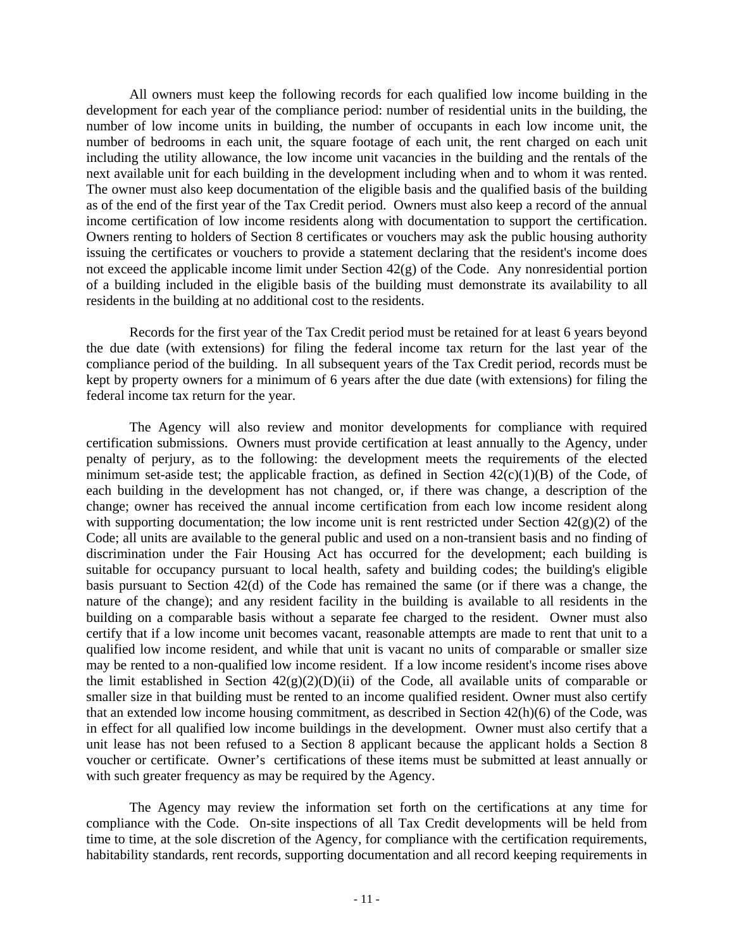All owners must keep the following records for each qualified low income building in the development for each year of the compliance period: number of residential units in the building, the number of low income units in building, the number of occupants in each low income unit, the number of bedrooms in each unit, the square footage of each unit, the rent charged on each unit including the utility allowance, the low income unit vacancies in the building and the rentals of the next available unit for each building in the development including when and to whom it was rented. The owner must also keep documentation of the eligible basis and the qualified basis of the building as of the end of the first year of the Tax Credit period. Owners must also keep a record of the annual income certification of low income residents along with documentation to support the certification. Owners renting to holders of Section 8 certificates or vouchers may ask the public housing authority issuing the certificates or vouchers to provide a statement declaring that the resident's income does not exceed the applicable income limit under Section 42(g) of the Code. Any nonresidential portion of a building included in the eligible basis of the building must demonstrate its availability to all residents in the building at no additional cost to the residents.

Records for the first year of the Tax Credit period must be retained for at least 6 years beyond the due date (with extensions) for filing the federal income tax return for the last year of the compliance period of the building. In all subsequent years of the Tax Credit period, records must be kept by property owners for a minimum of 6 years after the due date (with extensions) for filing the federal income tax return for the year.

The Agency will also review and monitor developments for compliance with required certification submissions. Owners must provide certification at least annually to the Agency, under penalty of perjury, as to the following: the development meets the requirements of the elected minimum set-aside test; the applicable fraction, as defined in Section  $42(c)(1)(B)$  of the Code, of each building in the development has not changed, or, if there was change, a description of the change; owner has received the annual income certification from each low income resident along with supporting documentation; the low income unit is rent restricted under Section  $42(g)(2)$  of the Code; all units are available to the general public and used on a non-transient basis and no finding of discrimination under the Fair Housing Act has occurred for the development; each building is suitable for occupancy pursuant to local health, safety and building codes; the building's eligible basis pursuant to Section 42(d) of the Code has remained the same (or if there was a change, the nature of the change); and any resident facility in the building is available to all residents in the building on a comparable basis without a separate fee charged to the resident. Owner must also certify that if a low income unit becomes vacant, reasonable attempts are made to rent that unit to a qualified low income resident, and while that unit is vacant no units of comparable or smaller size may be rented to a non-qualified low income resident. If a low income resident's income rises above the limit established in Section  $42(g)(2)(D)(ii)$  of the Code, all available units of comparable or smaller size in that building must be rented to an income qualified resident. Owner must also certify that an extended low income housing commitment, as described in Section 42(h)(6) of the Code, was in effect for all qualified low income buildings in the development. Owner must also certify that a unit lease has not been refused to a Section 8 applicant because the applicant holds a Section 8 voucher or certificate. Owner's certifications of these items must be submitted at least annually or with such greater frequency as may be required by the Agency.

The Agency may review the information set forth on the certifications at any time for compliance with the Code. On-site inspections of all Tax Credit developments will be held from time to time, at the sole discretion of the Agency, for compliance with the certification requirements, habitability standards, rent records, supporting documentation and all record keeping requirements in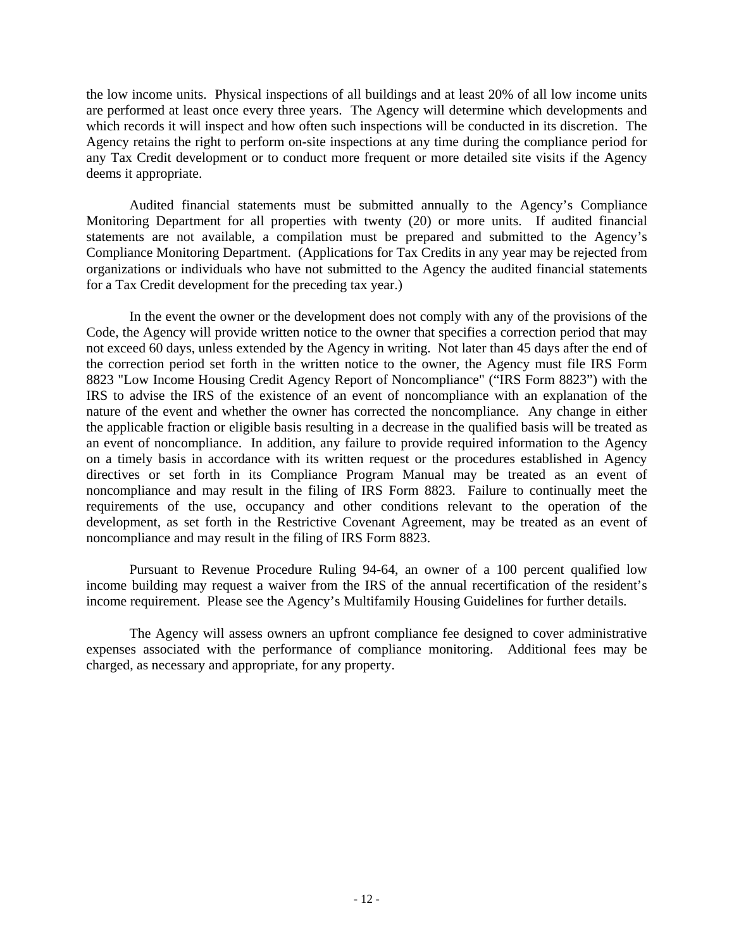the low income units. Physical inspections of all buildings and at least 20% of all low income units are performed at least once every three years. The Agency will determine which developments and which records it will inspect and how often such inspections will be conducted in its discretion. The Agency retains the right to perform on-site inspections at any time during the compliance period for any Tax Credit development or to conduct more frequent or more detailed site visits if the Agency deems it appropriate.

Audited financial statements must be submitted annually to the Agency's Compliance Monitoring Department for all properties with twenty (20) or more units. If audited financial statements are not available, a compilation must be prepared and submitted to the Agency's Compliance Monitoring Department. (Applications for Tax Credits in any year may be rejected from organizations or individuals who have not submitted to the Agency the audited financial statements for a Tax Credit development for the preceding tax year.)

In the event the owner or the development does not comply with any of the provisions of the Code, the Agency will provide written notice to the owner that specifies a correction period that may not exceed 60 days, unless extended by the Agency in writing. Not later than 45 days after the end of the correction period set forth in the written notice to the owner, the Agency must file IRS Form 8823 "Low Income Housing Credit Agency Report of Noncompliance" ("IRS Form 8823") with the IRS to advise the IRS of the existence of an event of noncompliance with an explanation of the nature of the event and whether the owner has corrected the noncompliance. Any change in either the applicable fraction or eligible basis resulting in a decrease in the qualified basis will be treated as an event of noncompliance. In addition, any failure to provide required information to the Agency on a timely basis in accordance with its written request or the procedures established in Agency directives or set forth in its Compliance Program Manual may be treated as an event of noncompliance and may result in the filing of IRS Form 8823. Failure to continually meet the requirements of the use, occupancy and other conditions relevant to the operation of the development, as set forth in the Restrictive Covenant Agreement, may be treated as an event of noncompliance and may result in the filing of IRS Form 8823.

Pursuant to Revenue Procedure Ruling 94-64, an owner of a 100 percent qualified low income building may request a waiver from the IRS of the annual recertification of the resident's income requirement. Please see the Agency's Multifamily Housing Guidelines for further details.

The Agency will assess owners an upfront compliance fee designed to cover administrative expenses associated with the performance of compliance monitoring. Additional fees may be charged, as necessary and appropriate, for any property.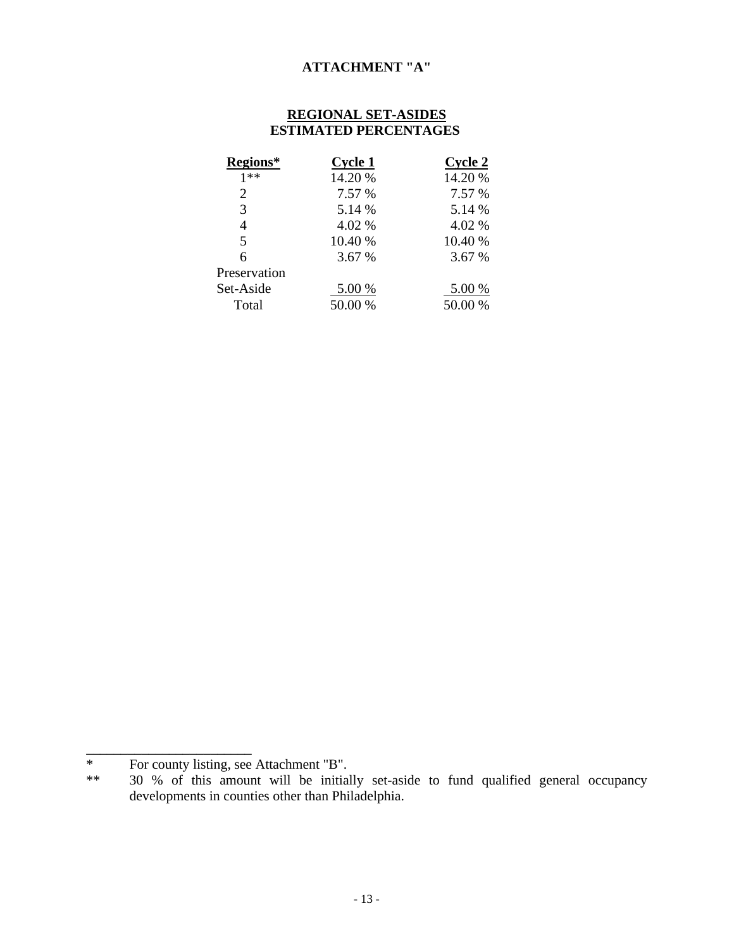## **ATTACHMENT "A"**

## **REGIONAL SET-ASIDES ESTIMATED PERCENTAGES**

| Cycle 1 | Cycle 2 |
|---------|---------|
| 14.20 % | 14.20 % |
| 7.57 %  | 7.57 %  |
| 5.14 %  | 5.14 %  |
| 4.02 %  | 4.02 %  |
| 10.40 % | 10.40 % |
| 3.67 %  | 3.67 %  |
|         |         |
| 5.00 %  | 5.00 %  |
| 50.00 % | 50.00 % |
|         |         |

\_\_\_\_\_\_\_\_\_\_\_\_\_\_\_\_\_\_\_\_\_\_\_\_

<sup>\*</sup> For county listing, see Attachment "B".<br>\*\* 30 % of this amount will be initial

<sup>30 %</sup> of this amount will be initially set-aside to fund qualified general occupancy developments in counties other than Philadelphia.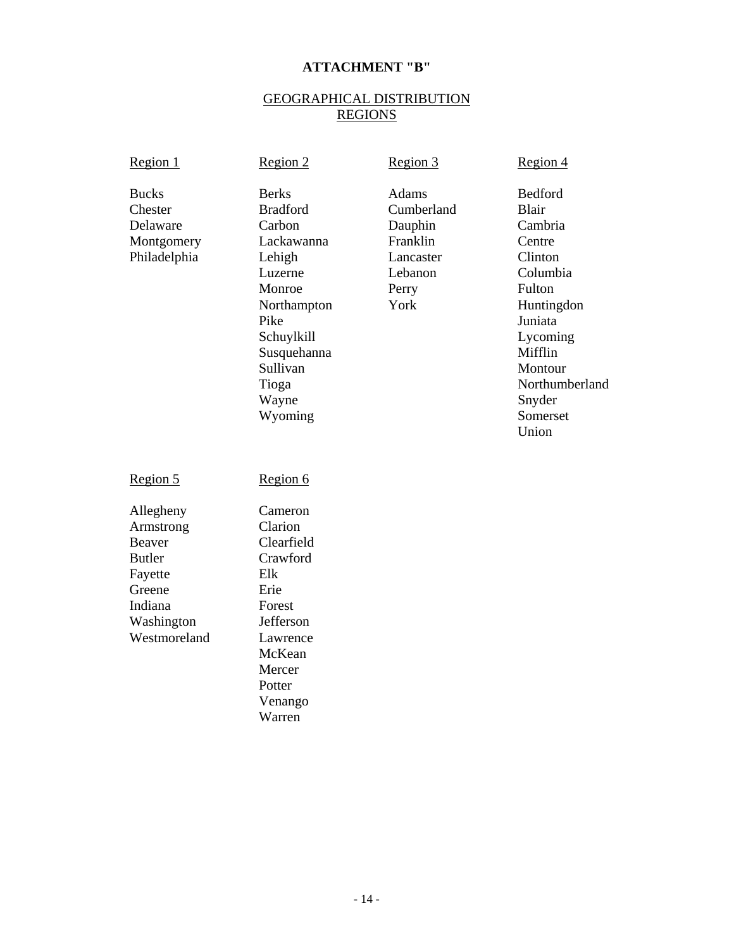## **ATTACHMENT "B"**

## GEOGRAPHICAL DISTRIBUTION REGIONS

| Region 1                                                                                                        | Region 2                                                                                                                                                                            | Region 3                                                                            | Region 4                                                                                                                                                                                  |
|-----------------------------------------------------------------------------------------------------------------|-------------------------------------------------------------------------------------------------------------------------------------------------------------------------------------|-------------------------------------------------------------------------------------|-------------------------------------------------------------------------------------------------------------------------------------------------------------------------------------------|
| <b>Bucks</b><br>Chester<br>Delaware<br>Montgomery<br>Philadelphia                                               | <b>Berks</b><br><b>Bradford</b><br>Carbon<br>Lackawanna<br>Lehigh<br>Luzerne<br>Monroe<br>Northampton<br>Pike<br>Schuylkill<br>Susquehanna<br>Sullivan<br>Tioga<br>Wayne<br>Wyoming | Adams<br>Cumberland<br>Dauphin<br>Franklin<br>Lancaster<br>Lebanon<br>Perry<br>York | Bedford<br><b>Blair</b><br>Cambria<br>Centre<br>Clinton<br>Columbia<br>Fulton<br>Huntingdon<br>Juniata<br>Lycoming<br>Mifflin<br>Montour<br>Northumberland<br>Snyder<br>Somerset<br>Union |
| Region 5                                                                                                        | Region 6                                                                                                                                                                            |                                                                                     |                                                                                                                                                                                           |
| Allegheny<br>Armstrong<br>Beaver<br><b>Butler</b><br>Fayette<br>Greene<br>Indiana<br>Washington<br>Westmoreland | Cameron<br>Clarion<br>Clearfield<br>Crawford<br>Elk<br>Erie<br>Forest<br>Jefferson<br>Lawrence<br>McKean<br>Mercer<br>Potter<br>Venango<br>Warren                                   |                                                                                     |                                                                                                                                                                                           |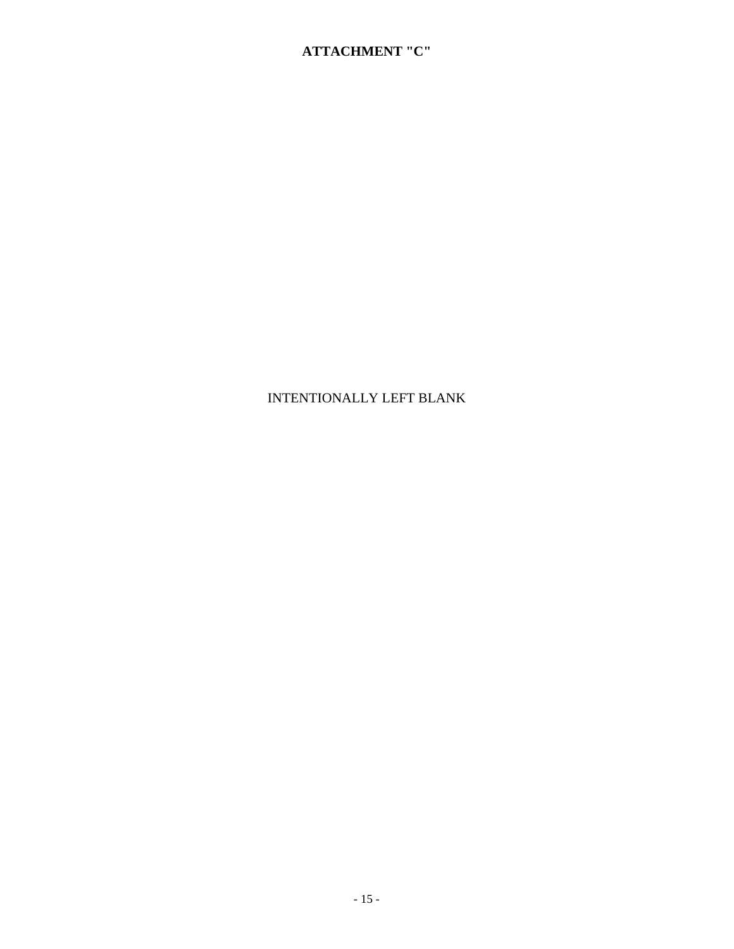# INTENTIONALLY LEFT BLANK

## **ATTACHMENT "C"**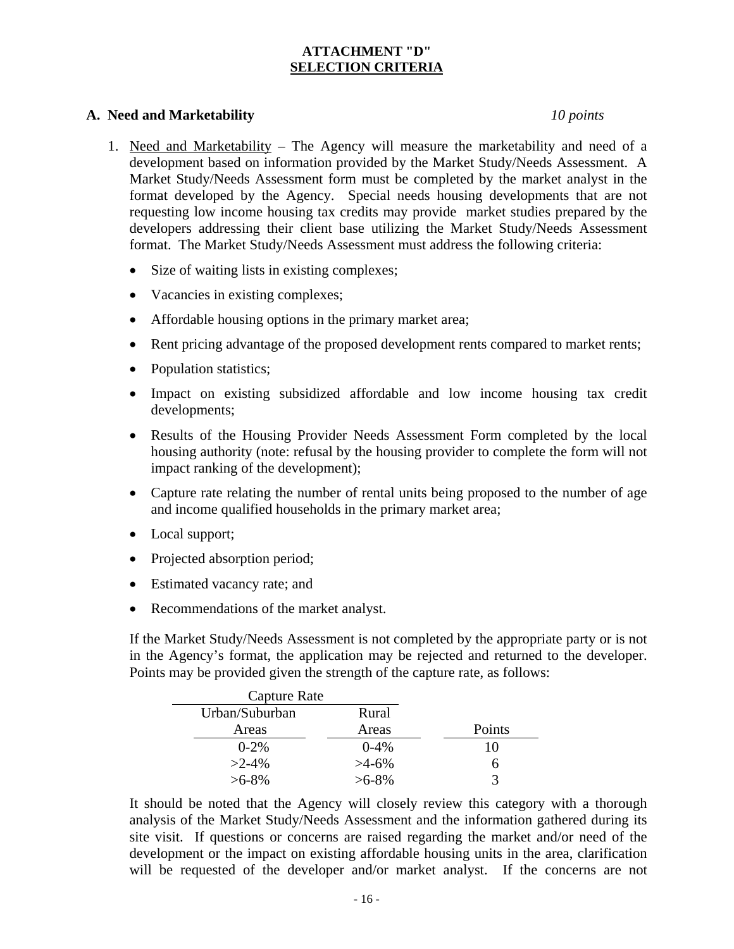## **ATTACHMENT "D" SELECTION CRITERIA**

## **A. Need and Marketability** *10 points*

- 1. Need and Marketability The Agency will measure the marketability and need of a development based on information provided by the Market Study/Needs Assessment. A Market Study/Needs Assessment form must be completed by the market analyst in the format developed by the Agency. Special needs housing developments that are not requesting low income housing tax credits may provide market studies prepared by the developers addressing their client base utilizing the Market Study/Needs Assessment format. The Market Study/Needs Assessment must address the following criteria:
	- Size of waiting lists in existing complexes;
	- Vacancies in existing complexes;
	- Affordable housing options in the primary market area;
	- Rent pricing advantage of the proposed development rents compared to market rents;
	- Population statistics;
	- Impact on existing subsidized affordable and low income housing tax credit developments;
	- Results of the Housing Provider Needs Assessment Form completed by the local housing authority (note: refusal by the housing provider to complete the form will not impact ranking of the development);
	- Capture rate relating the number of rental units being proposed to the number of age and income qualified households in the primary market area;
	- Local support;
	- Projected absorption period;
	- Estimated vacancy rate; and
	- Recommendations of the market analyst.

If the Market Study/Needs Assessment is not completed by the appropriate party or is not in the Agency's format, the application may be rejected and returned to the developer. Points may be provided given the strength of the capture rate, as follows:

| Capture Rate   |            |        |
|----------------|------------|--------|
| Urban/Suburban | Rural      |        |
| Areas          | Areas      | Points |
| $0 - 2\%$      | $0 - 4\%$  | 10     |
| $>2-4\%$       | $>4-6\%$   | h      |
| $>6 - 8\%$     | $>6 - 8\%$ |        |

It should be noted that the Agency will closely review this category with a thorough analysis of the Market Study/Needs Assessment and the information gathered during its site visit. If questions or concerns are raised regarding the market and/or need of the development or the impact on existing affordable housing units in the area, clarification will be requested of the developer and/or market analyst. If the concerns are not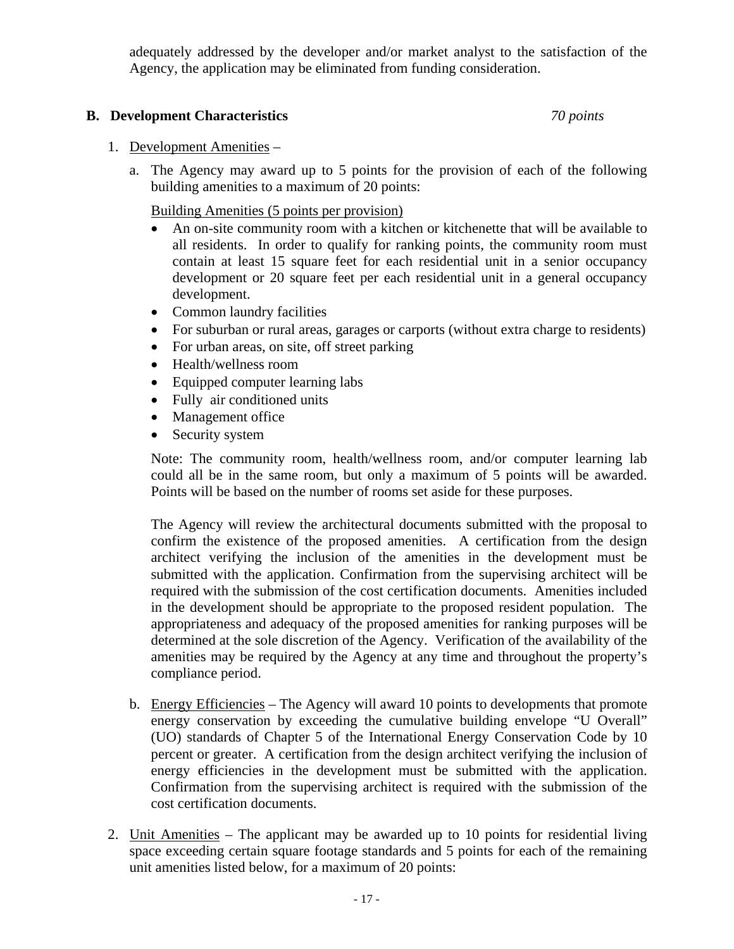adequately addressed by the developer and/or market analyst to the satisfaction of the Agency, the application may be eliminated from funding consideration.

## **B. Development Characteristics** *70 points*

## 1. Development Amenities –

a. The Agency may award up to 5 points for the provision of each of the following building amenities to a maximum of 20 points:

Building Amenities (5 points per provision)

- An on-site community room with a kitchen or kitchenette that will be available to all residents. In order to qualify for ranking points, the community room must contain at least 15 square feet for each residential unit in a senior occupancy development or 20 square feet per each residential unit in a general occupancy development.
- Common laundry facilities
- For suburban or rural areas, garages or carports (without extra charge to residents)
- For urban areas, on site, off street parking
- Health/wellness room
- Equipped computer learning labs
- Fully air conditioned units
- Management office
- Security system

Note: The community room, health/wellness room, and/or computer learning lab could all be in the same room, but only a maximum of 5 points will be awarded. Points will be based on the number of rooms set aside for these purposes.

The Agency will review the architectural documents submitted with the proposal to confirm the existence of the proposed amenities. A certification from the design architect verifying the inclusion of the amenities in the development must be submitted with the application. Confirmation from the supervising architect will be required with the submission of the cost certification documents. Amenities included in the development should be appropriate to the proposed resident population. The appropriateness and adequacy of the proposed amenities for ranking purposes will be determined at the sole discretion of the Agency. Verification of the availability of the amenities may be required by the Agency at any time and throughout the property's compliance period.

- b. Energy Efficiencies The Agency will award 10 points to developments that promote energy conservation by exceeding the cumulative building envelope "U Overall" (UO) standards of Chapter 5 of the International Energy Conservation Code by 10 percent or greater. A certification from the design architect verifying the inclusion of energy efficiencies in the development must be submitted with the application. Confirmation from the supervising architect is required with the submission of the cost certification documents.
- 2. Unit Amenities The applicant may be awarded up to 10 points for residential living space exceeding certain square footage standards and 5 points for each of the remaining unit amenities listed below, for a maximum of 20 points: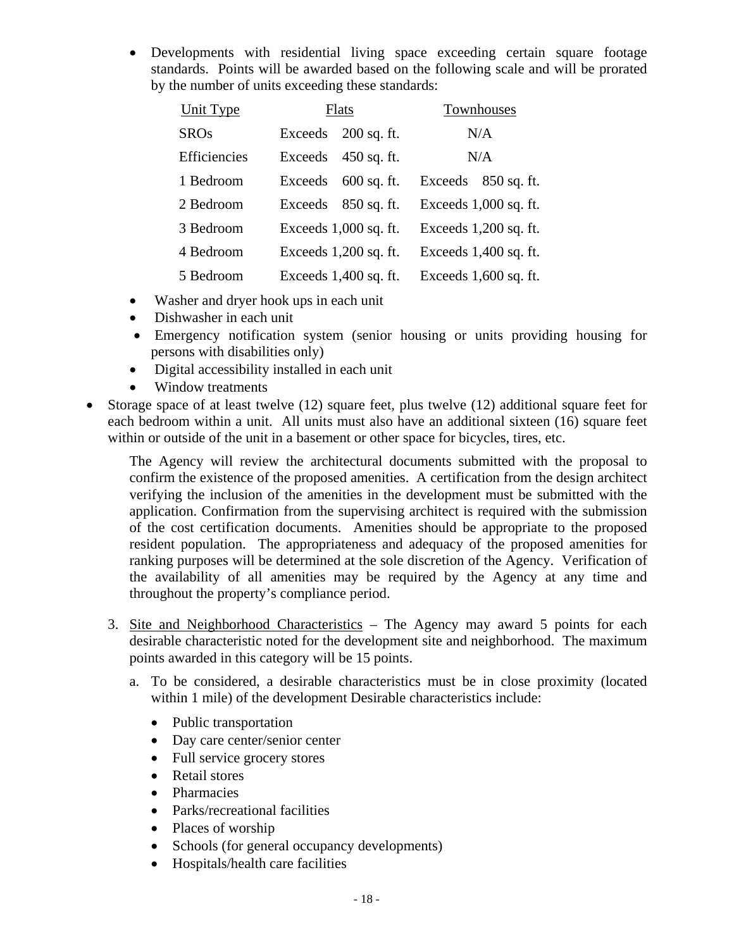• Developments with residential living space exceeding certain square footage standards. Points will be awarded based on the following scale and will be prorated by the number of units exceeding these standards:

| <b>Unit Type</b> | Flats                    | Townhouses               |
|------------------|--------------------------|--------------------------|
| <b>SROs</b>      | Exceeds<br>$200$ sq. ft. | N/A                      |
| Efficiencies     | Exceeds<br>$450$ sq. ft. | N/A                      |
| 1 Bedroom        | Exceeds<br>$600$ sq. ft. | Exceeds<br>$850$ sq. ft. |
| 2 Bedroom        | Exceeds<br>$850$ sq. ft. | Exceeds 1,000 sq. ft.    |
| 3 Bedroom        | Exceeds $1,000$ sq. ft.  | Exceeds $1,200$ sq. ft.  |
| 4 Bedroom        | Exceeds $1,200$ sq. ft.  | Exceeds 1,400 sq. ft.    |
| 5 Bedroom        | Exceeds $1,400$ sq. ft.  | Exceeds 1,600 sq. ft.    |

- Washer and dryer hook ups in each unit
- Dishwasher in each unit
- Emergency notification system (senior housing or units providing housing for persons with disabilities only)
- Digital accessibility installed in each unit
- Window treatments
- Storage space of at least twelve (12) square feet, plus twelve (12) additional square feet for each bedroom within a unit. All units must also have an additional sixteen (16) square feet within or outside of the unit in a basement or other space for bicycles, tires, etc.

The Agency will review the architectural documents submitted with the proposal to confirm the existence of the proposed amenities. A certification from the design architect verifying the inclusion of the amenities in the development must be submitted with the application. Confirmation from the supervising architect is required with the submission of the cost certification documents. Amenities should be appropriate to the proposed resident population. The appropriateness and adequacy of the proposed amenities for ranking purposes will be determined at the sole discretion of the Agency. Verification of the availability of all amenities may be required by the Agency at any time and throughout the property's compliance period.

- 3. Site and Neighborhood Characteristics The Agency may award 5 points for each desirable characteristic noted for the development site and neighborhood. The maximum points awarded in this category will be 15 points.
	- a. To be considered, a desirable characteristics must be in close proximity (located within 1 mile) of the development Desirable characteristics include:
		- Public transportation
		- Day care center/senior center
		- Full service grocery stores
		- Retail stores
		- Pharmacies
		- Parks/recreational facilities
		- Places of worship
		- Schools (for general occupancy developments)
		- Hospitals/health care facilities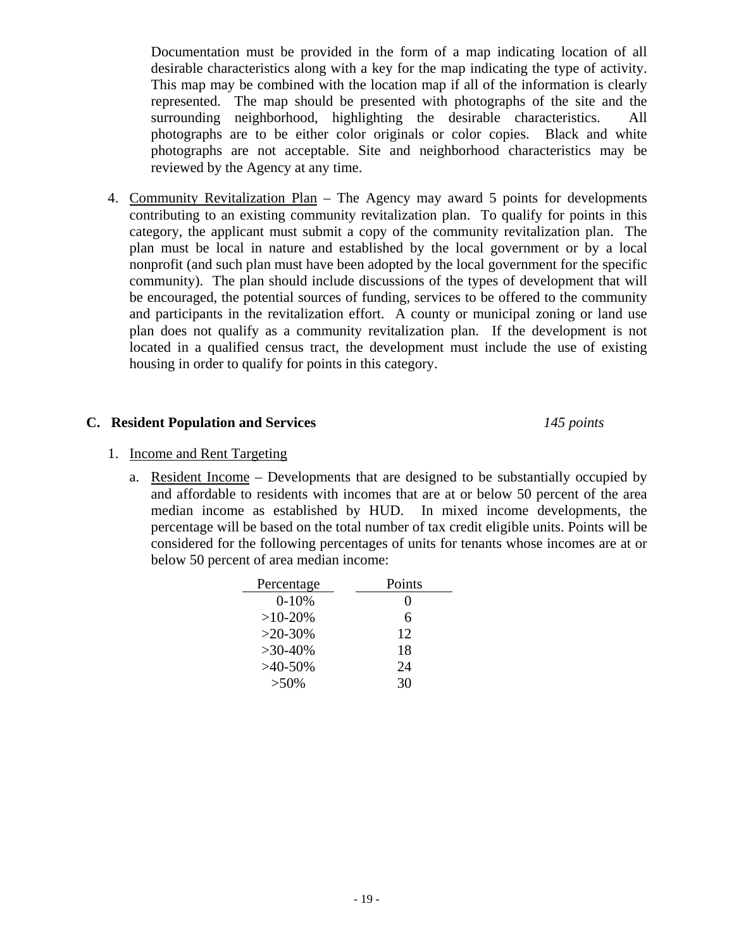Documentation must be provided in the form of a map indicating location of all desirable characteristics along with a key for the map indicating the type of activity. This map may be combined with the location map if all of the information is clearly represented. The map should be presented with photographs of the site and the surrounding neighborhood, highlighting the desirable characteristics. All photographs are to be either color originals or color copies. Black and white photographs are not acceptable. Site and neighborhood characteristics may be reviewed by the Agency at any time.

4. Community Revitalization Plan – The Agency may award 5 points for developments contributing to an existing community revitalization plan. To qualify for points in this category, the applicant must submit a copy of the community revitalization plan. The plan must be local in nature and established by the local government or by a local nonprofit (and such plan must have been adopted by the local government for the specific community). The plan should include discussions of the types of development that will be encouraged, the potential sources of funding, services to be offered to the community and participants in the revitalization effort. A county or municipal zoning or land use plan does not qualify as a community revitalization plan. If the development is not located in a qualified census tract, the development must include the use of existing housing in order to qualify for points in this category.

## **C. Resident Population and Services** *145 points*

## 1. Income and Rent Targeting

a. Resident Income – Developments that are designed to be substantially occupied by and affordable to residents with incomes that are at or below 50 percent of the area median income as established by HUD. In mixed income developments, the percentage will be based on the total number of tax credit eligible units. Points will be considered for the following percentages of units for tenants whose incomes are at or below 50 percent of area median income:

| Percentage | Points            |
|------------|-------------------|
| $0 - 10%$  | $\mathbf{\Omega}$ |
| $>10-20%$  | 6                 |
| $>20-30%$  | 12                |
| $>30-40\%$ | 18                |
| $>40-50\%$ | 24                |
| $>50\%$    | 30                |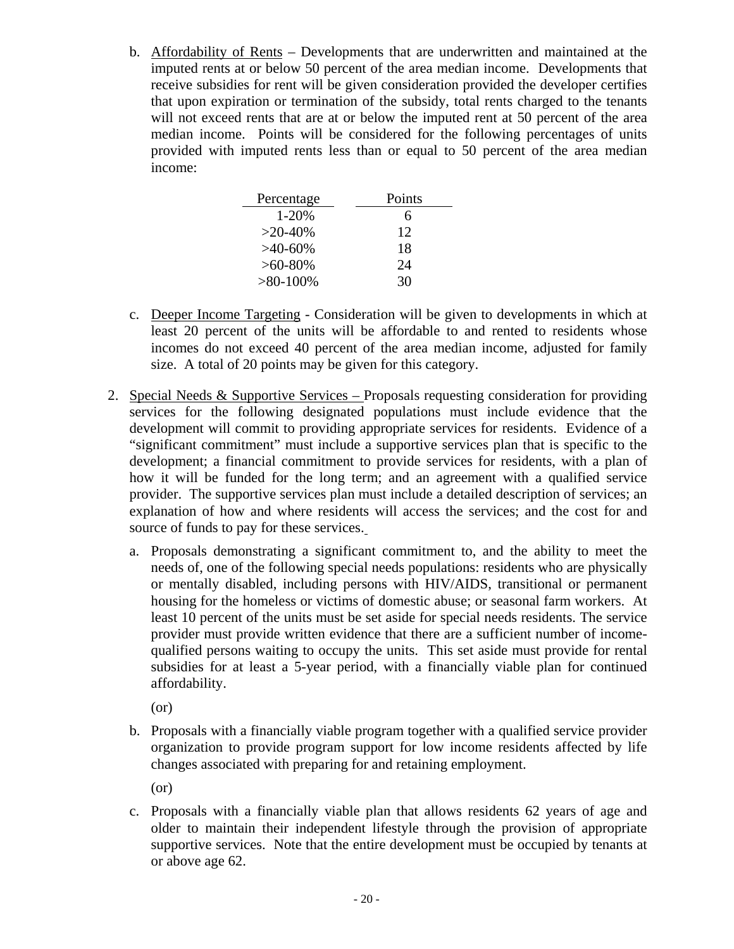b. Affordability of Rents – Developments that are underwritten and maintained at the imputed rents at or below 50 percent of the area median income. Developments that receive subsidies for rent will be given consideration provided the developer certifies that upon expiration or termination of the subsidy, total rents charged to the tenants will not exceed rents that are at or below the imputed rent at 50 percent of the area median income. Points will be considered for the following percentages of units provided with imputed rents less than or equal to 50 percent of the area median income:

| Percentage  | Points |
|-------------|--------|
| 1-20%       | 6      |
| $>20-40\%$  | 12     |
| $>40-60\%$  | 18     |
| $>60-80\%$  | 24     |
| $>80-100\%$ | 30     |

- c. Deeper Income Targeting Consideration will be given to developments in which at least 20 percent of the units will be affordable to and rented to residents whose incomes do not exceed 40 percent of the area median income, adjusted for family size. A total of 20 points may be given for this category.
- 2. Special Needs & Supportive Services Proposals requesting consideration for providing services for the following designated populations must include evidence that the development will commit to providing appropriate services for residents. Evidence of a "significant commitment" must include a supportive services plan that is specific to the development; a financial commitment to provide services for residents, with a plan of how it will be funded for the long term; and an agreement with a qualified service provider. The supportive services plan must include a detailed description of services; an explanation of how and where residents will access the services; and the cost for and source of funds to pay for these services.
	- a. Proposals demonstrating a significant commitment to, and the ability to meet the needs of, one of the following special needs populations: residents who are physically or mentally disabled, including persons with HIV/AIDS, transitional or permanent housing for the homeless or victims of domestic abuse; or seasonal farm workers. At least 10 percent of the units must be set aside for special needs residents. The service provider must provide written evidence that there are a sufficient number of incomequalified persons waiting to occupy the units. This set aside must provide for rental subsidies for at least a 5-year period, with a financially viable plan for continued affordability.

(or)

b. Proposals with a financially viable program together with a qualified service provider organization to provide program support for low income residents affected by life changes associated with preparing for and retaining employment.

(or)

c. Proposals with a financially viable plan that allows residents 62 years of age and older to maintain their independent lifestyle through the provision of appropriate supportive services. Note that the entire development must be occupied by tenants at or above age 62.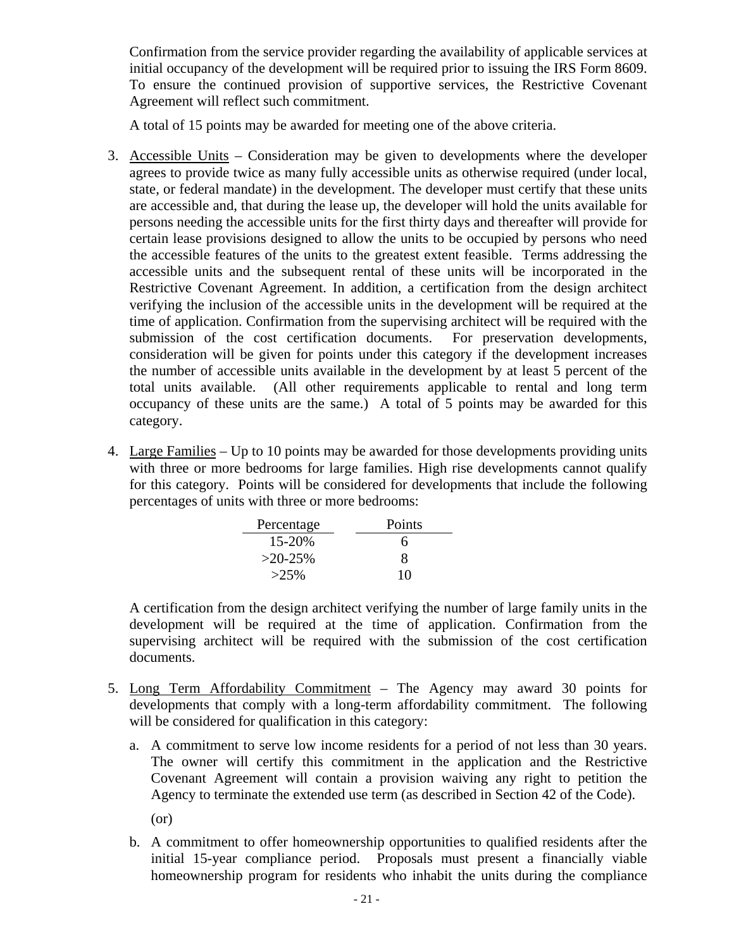Confirmation from the service provider regarding the availability of applicable services at initial occupancy of the development will be required prior to issuing the IRS Form 8609. To ensure the continued provision of supportive services, the Restrictive Covenant Agreement will reflect such commitment.

A total of 15 points may be awarded for meeting one of the above criteria.

- 3. Accessible Units Consideration may be given to developments where the developer agrees to provide twice as many fully accessible units as otherwise required (under local, state, or federal mandate) in the development. The developer must certify that these units are accessible and, that during the lease up, the developer will hold the units available for persons needing the accessible units for the first thirty days and thereafter will provide for certain lease provisions designed to allow the units to be occupied by persons who need the accessible features of the units to the greatest extent feasible. Terms addressing the accessible units and the subsequent rental of these units will be incorporated in the Restrictive Covenant Agreement. In addition, a certification from the design architect verifying the inclusion of the accessible units in the development will be required at the time of application. Confirmation from the supervising architect will be required with the submission of the cost certification documents. For preservation developments, consideration will be given for points under this category if the development increases the number of accessible units available in the development by at least 5 percent of the total units available. (All other requirements applicable to rental and long term occupancy of these units are the same.) A total of 5 points may be awarded for this category.
- 4. Large Families Up to 10 points may be awarded for those developments providing units with three or more bedrooms for large families. High rise developments cannot qualify for this category. Points will be considered for developments that include the following percentages of units with three or more bedrooms:

| Percentage | Points |
|------------|--------|
| 15-20%     | 6      |
| $>20-25%$  | x.     |
| $>25\%$    | 10     |

A certification from the design architect verifying the number of large family units in the development will be required at the time of application. Confirmation from the supervising architect will be required with the submission of the cost certification documents.

- 5. Long Term Affordability Commitment The Agency may award 30 points for developments that comply with a long-term affordability commitment. The following will be considered for qualification in this category:
	- a. A commitment to serve low income residents for a period of not less than 30 years. The owner will certify this commitment in the application and the Restrictive Covenant Agreement will contain a provision waiving any right to petition the Agency to terminate the extended use term (as described in Section 42 of the Code).
		- (or)
	- b. A commitment to offer homeownership opportunities to qualified residents after the initial 15-year compliance period. Proposals must present a financially viable homeownership program for residents who inhabit the units during the compliance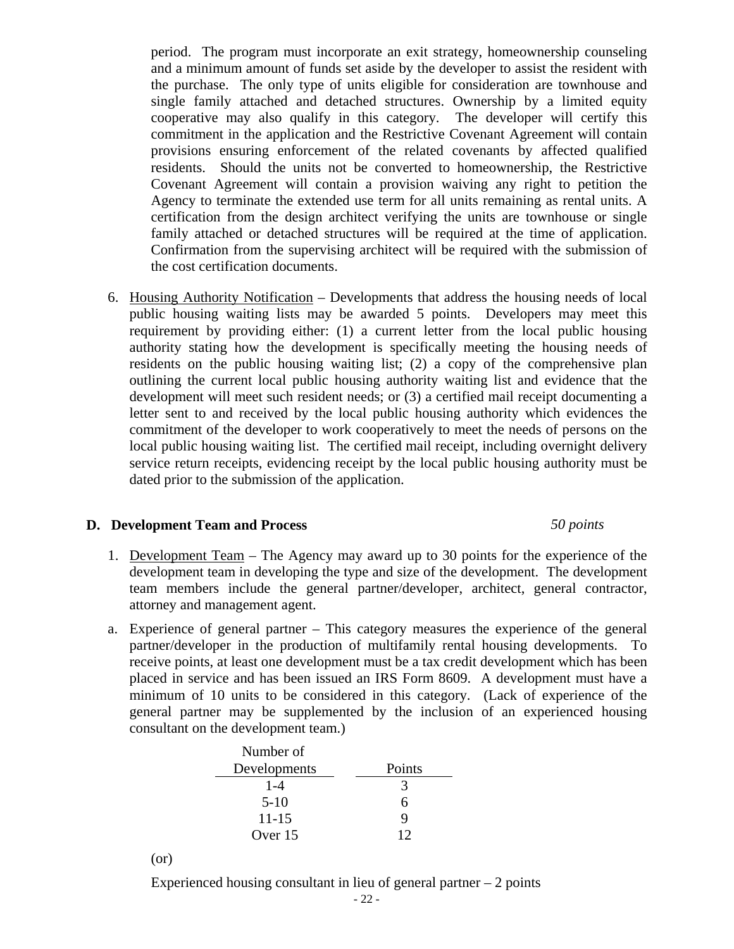period. The program must incorporate an exit strategy, homeownership counseling and a minimum amount of funds set aside by the developer to assist the resident with the purchase. The only type of units eligible for consideration are townhouse and single family attached and detached structures. Ownership by a limited equity cooperative may also qualify in this category. The developer will certify this commitment in the application and the Restrictive Covenant Agreement will contain provisions ensuring enforcement of the related covenants by affected qualified residents. Should the units not be converted to homeownership, the Restrictive Covenant Agreement will contain a provision waiving any right to petition the Agency to terminate the extended use term for all units remaining as rental units. A certification from the design architect verifying the units are townhouse or single family attached or detached structures will be required at the time of application. Confirmation from the supervising architect will be required with the submission of the cost certification documents.

6. Housing Authority Notification – Developments that address the housing needs of local public housing waiting lists may be awarded 5 points. Developers may meet this requirement by providing either: (1) a current letter from the local public housing authority stating how the development is specifically meeting the housing needs of residents on the public housing waiting list; (2) a copy of the comprehensive plan outlining the current local public housing authority waiting list and evidence that the development will meet such resident needs; or (3) a certified mail receipt documenting a letter sent to and received by the local public housing authority which evidences the commitment of the developer to work cooperatively to meet the needs of persons on the local public housing waiting list. The certified mail receipt, including overnight delivery service return receipts, evidencing receipt by the local public housing authority must be dated prior to the submission of the application.

## **D. Development Team and Process** *50 points*

- 1. Development Team The Agency may award up to 30 points for the experience of the development team in developing the type and size of the development. The development team members include the general partner/developer, architect, general contractor, attorney and management agent.
- a. Experience of general partner This category measures the experience of the general partner/developer in the production of multifamily rental housing developments. To receive points, at least one development must be a tax credit development which has been placed in service and has been issued an IRS Form 8609. A development must have a minimum of 10 units to be considered in this category. (Lack of experience of the general partner may be supplemented by the inclusion of an experienced housing consultant on the development team.)

| Number of    |        |
|--------------|--------|
| Developments | Points |
| $1 - 4$      | 3      |
| $5-10$       | 6      |
| $11 - 15$    | 9      |
| Over 15      | 12     |

(or)

Experienced housing consultant in lieu of general partner  $-2$  points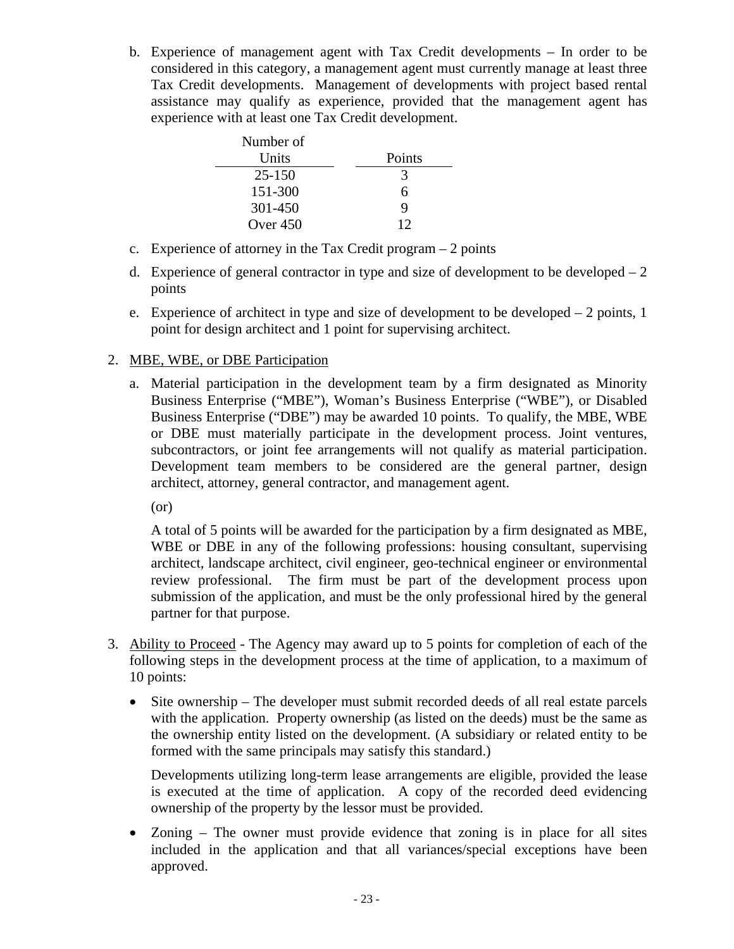b. Experience of management agent with Tax Credit developments – In order to be considered in this category, a management agent must currently manage at least three Tax Credit developments. Management of developments with project based rental assistance may qualify as experience, provided that the management agent has experience with at least one Tax Credit development.

| Number of  |        |
|------------|--------|
| Units      | Points |
| $25 - 150$ | 3      |
| 151-300    | 6      |
| 301-450    |        |
| Over $450$ | 12     |

- c. Experience of attorney in the Tax Credit program 2 points
- d. Experience of general contractor in type and size of development to be developed  $-2$ points
- e. Experience of architect in type and size of development to be developed  $-2$  points, 1 point for design architect and 1 point for supervising architect.

## 2. MBE, WBE, or DBE Participation

a. Material participation in the development team by a firm designated as Minority Business Enterprise ("MBE"), Woman's Business Enterprise ("WBE"), or Disabled Business Enterprise ("DBE") may be awarded 10 points. To qualify, the MBE, WBE or DBE must materially participate in the development process. Joint ventures, subcontractors, or joint fee arrangements will not qualify as material participation. Development team members to be considered are the general partner, design architect, attorney, general contractor, and management agent.

(or)

A total of 5 points will be awarded for the participation by a firm designated as MBE, WBE or DBE in any of the following professions: housing consultant, supervising architect, landscape architect, civil engineer, geo-technical engineer or environmental review professional. The firm must be part of the development process upon submission of the application, and must be the only professional hired by the general partner for that purpose.

- 3. Ability to Proceed The Agency may award up to 5 points for completion of each of the following steps in the development process at the time of application, to a maximum of 10 points:
	- Site ownership The developer must submit recorded deeds of all real estate parcels with the application. Property ownership (as listed on the deeds) must be the same as the ownership entity listed on the development. (A subsidiary or related entity to be formed with the same principals may satisfy this standard.)

Developments utilizing long-term lease arrangements are eligible, provided the lease is executed at the time of application. A copy of the recorded deed evidencing ownership of the property by the lessor must be provided.

• Zoning – The owner must provide evidence that zoning is in place for all sites included in the application and that all variances/special exceptions have been approved.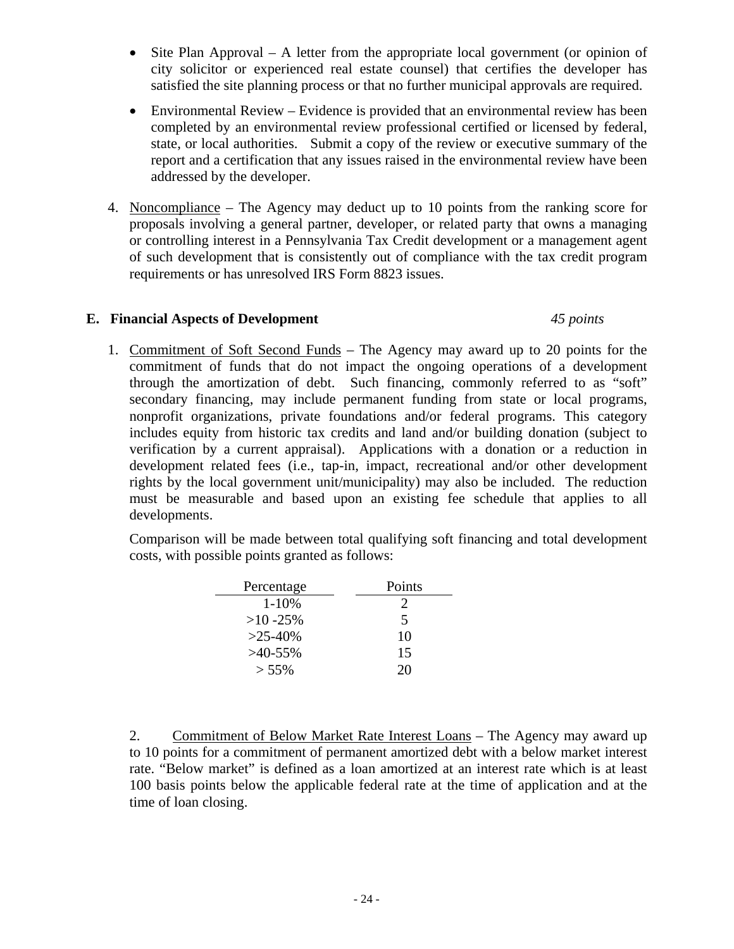- Site Plan Approval A letter from the appropriate local government (or opinion of city solicitor or experienced real estate counsel) that certifies the developer has satisfied the site planning process or that no further municipal approvals are required.
- Environmental Review Evidence is provided that an environmental review has been completed by an environmental review professional certified or licensed by federal, state, or local authorities. Submit a copy of the review or executive summary of the report and a certification that any issues raised in the environmental review have been addressed by the developer.
- 4. Noncompliance The Agency may deduct up to 10 points from the ranking score for proposals involving a general partner, developer, or related party that owns a managing or controlling interest in a Pennsylvania Tax Credit development or a management agent of such development that is consistently out of compliance with the tax credit program requirements or has unresolved IRS Form 8823 issues.

## **E. Financial Aspects of Development** *45 points*

1. Commitment of Soft Second Funds – The Agency may award up to 20 points for the commitment of funds that do not impact the ongoing operations of a development through the amortization of debt. Such financing, commonly referred to as "soft" secondary financing, may include permanent funding from state or local programs, nonprofit organizations, private foundations and/or federal programs. This category includes equity from historic tax credits and land and/or building donation (subject to verification by a current appraisal). Applications with a donation or a reduction in development related fees (i.e., tap-in, impact, recreational and/or other development rights by the local government unit/municipality) may also be included. The reduction must be measurable and based upon an existing fee schedule that applies to all developments.

Comparison will be made between total qualifying soft financing and total development costs, with possible points granted as follows:

| Percentage   | Points                      |
|--------------|-----------------------------|
| $1 - 10%$    | $\mathcal{D}_{\mathcal{L}}$ |
| $>10 - 25\%$ | 5                           |
| $>25-40%$    | 10                          |
| $>40-55\%$   | 15                          |
| $> 55\%$     | 20                          |

2. Commitment of Below Market Rate Interest Loans – The Agency may award up to 10 points for a commitment of permanent amortized debt with a below market interest rate. "Below market" is defined as a loan amortized at an interest rate which is at least 100 basis points below the applicable federal rate at the time of application and at the time of loan closing.